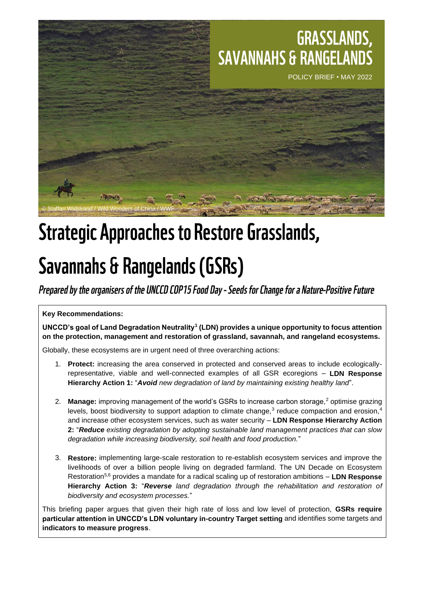### **GRASSLANDS, SAVANNAHS & RANGELANDS**



## **Strategic Approaches to Restore Grasslands,**

# **Savannahs & Rangelands (GSRs)**

Prepared by the organisers of the UNCCD COP15 Food Day - Seeds for Change for a Nature-Positive Future

**Key Recommendations:**

**UNCCD's goal of Land Degradation Neutrality<sup>1</sup> (LDN) provides a unique opportunity to focus attention on the protection, management and restoration of grassland, savannah, and rangeland ecosystems.**

Globally, these ecosystems are in urgent need of three overarching actions:

- 1. **Protect:** increasing the area conserved in protected and conserved areas to include ecologicallyrepresentative, viable and well-connected examples of all GSR ecoregions – **LDN Response Hierarchy Action 1:** "*Avoid new degradation of land by maintaining existing healthy land*".
- 2. **Manage:** improving management of the world's GSRs to increase carbon storage,<sup>2</sup> optimise grazing levels, boost biodiversity to support adaption to climate change, $3$  reduce compaction and erosion, $4$ and increase other ecosystem services, such as water security – **LDN Response Hierarchy Action 2:** "*Reduce existing degradation by adopting sustainable land management practices that can slow degradation while increasing biodiversity, soil health and food production.*"
- 3. **Restore:** implementing large-scale restoration to re-establish ecosystem services and improve the livelihoods of over a billion people living on degraded farmland. The UN Decade on Ecosystem Restoration5,6 provides a mandate for a radical scaling up of restoration ambitions – **LDN Response Hierarchy Action 3:** "*Reverse land degradation through the rehabilitation and restoration of biodiversity and ecosystem processes.*"

This briefing paper argues that given their high rate of loss and low level of protection, **GSRs require particular attention in UNCCD's LDN voluntary in-country Target setting** and identifies some targets and **indicators to measure progress**.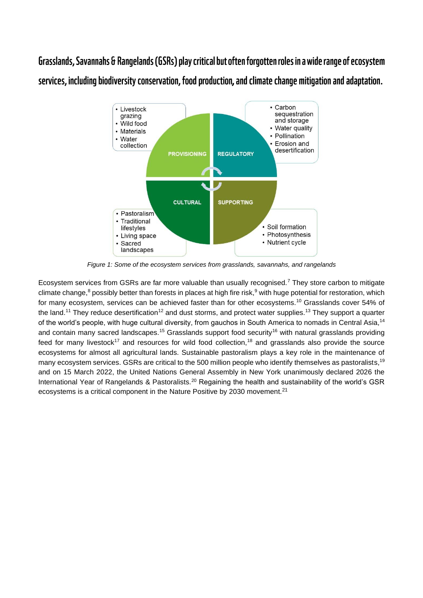Grasslands, Savannahs & Rangelands (GSRs) play critical but often forgotten roles in a wide range of ecosystem services, including biodiversity conservation, food production, and climate change mitigation and adaptation.



*Figure 1: Some of the ecosystem services from grasslands, savannahs, and rangelands*

Ecosystem services from GSRs are far more valuable than usually recognised.<sup>7</sup> They store carbon to mitigate climate change,<sup>8</sup> possibly better than forests in places at high fire risk,<sup>9</sup> with huge potential for restoration, which for many ecosystem, services can be achieved faster than for other ecosystems.<sup>10</sup> Grasslands cover 54% of the land.<sup>11</sup> They reduce desertification<sup>12</sup> and dust storms, and protect water supplies.<sup>13</sup> They support a quarter of the world's people, with huge cultural diversity, from gauchos in South America to nomads in Central Asia,<sup>14</sup> and contain many sacred landscapes.<sup>15</sup> Grasslands support food security<sup>16</sup> with natural grasslands providing feed for many livestock<sup>17</sup> and resources for wild food collection,<sup>18</sup> and grasslands also provide the source ecosystems for almost all agricultural lands. Sustainable pastoralism plays a key role in the maintenance of many ecosystem services. GSRs are critical to the 500 million people who identify themselves as pastoralists,<sup>19</sup> and on 15 March 2022, the United Nations General Assembly in New York unanimously declared 2026 the International Year of Rangelands & Pastoralists.<sup>20</sup> Regaining the health and sustainability of the world's GSR ecosystems is a critical component in the Nature Positive by 2030 movement.<sup>21</sup>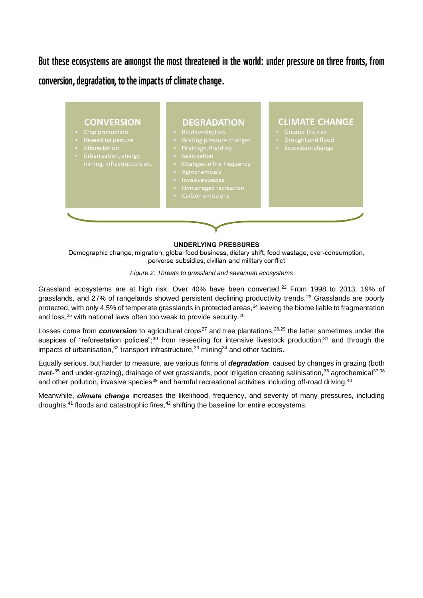But these ecosystems are amongst the most threatened in the world: under pressure on three fronts, from conversion, degradation, to the impacts of climate change.



#### **UNDERLYING PRESSURES**

Demographic change, migration, global food business, dietary shift, food wastage, over-consumption, perverse subsidies, civilian and military conflict

*Figure 2: Threats to grassland and savannah ecosystems*

Grassland ecosystems are at high risk. Over 40% have been converted.<sup>22</sup> From 1998 to 2013, 19% of grasslands, and 27% of rangelands showed persistent declining productivity trends.<sup>23</sup> Grasslands are poorly protected, with only 4.5% of temperate grasslands in protected areas,<sup>24</sup> leaving the biome liable to fragmentation and loss,<sup>25</sup> with national laws often too weak to provide security.<sup>26</sup>

Losses come from *conversion* to agricultural crops<sup>27</sup> and tree plantations,<sup>28,29</sup> the latter sometimes under the auspices of "reforestation policies";<sup>30</sup> from reseeding for intensive livestock production;<sup>31</sup> and through the impacts of urbanisation, $32$  transport infrastructure, $33$  mining  $34$  and other factors.

Equally serious, but harder to measure, are various forms of *degradation*, caused by changes in grazing (both over-<sup>35</sup> and under-grazing), drainage of wet grasslands, poor irrigation creating salinisation,<sup>36</sup> agrochemical<sup>37,38</sup> and other pollution, invasive species<sup>39</sup> and harmful recreational activities including off-road driving.<sup>40</sup>

Meanwhile, *climate change* increases the likelihood, frequency, and severity of many pressures, including droughts, $41$  floods and catastrophic fires, $42$  shifting the baseline for entire ecosystems.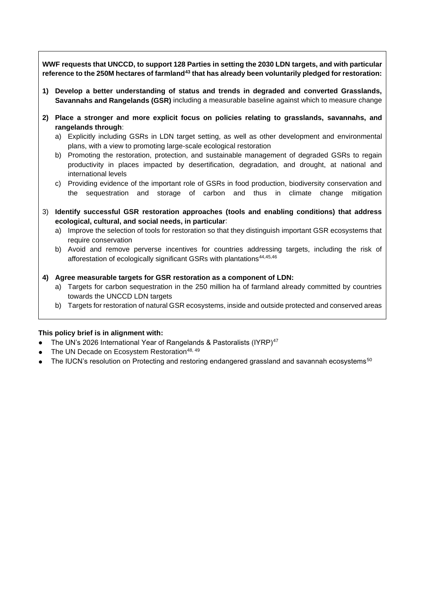**WWF requests that UNCCD, to support 128 Parties in setting the 2030 LDN targets, and with particular reference to the 250M hectares of farmland<sup>43</sup> that has already been voluntarily pledged for restoration:**

- **1) Develop a better understanding of status and trends in degraded and converted Grasslands, Savannahs and Rangelands (GSR)** including a measurable baseline against which to measure change
- **2) Place a stronger and more explicit focus on policies relating to grasslands, savannahs, and rangelands through**:
	- a) Explicitly including GSRs in LDN target setting, as well as other development and environmental plans, with a view to promoting large-scale ecological restoration
	- b) Promoting the restoration, protection, and sustainable management of degraded GSRs to regain productivity in places impacted by desertification, degradation, and drought, at national and international levels
	- c) Providing evidence of the important role of GSRs in food production, biodiversity conservation and the sequestration and storage of carbon and thus in climate change mitigation
- 3) **Identify successful GSR restoration approaches (tools and enabling conditions) that address ecological, cultural, and social needs, in particular**:
	- a) Improve the selection of tools for restoration so that they distinguish important GSR ecosystems that require conservation
	- b) Avoid and remove perverse incentives for countries addressing targets, including the risk of afforestation of ecologically significant GSRs with plantations<sup>44,45,46</sup>
- **4) Agree measurable targets for GSR restoration as a component of LDN:**
	- a) Targets for carbon sequestration in the 250 million ha of farmland already committed by countries towards the UNCCD LDN targets
	- b) Targets for restoration of natural GSR ecosystems, inside and outside protected and conserved areas

### **This policy brief is in alignment with:**

- The UN's 2026 International Year of Rangelands & Pastoralists (IYRP)<sup>47</sup>
- The UN Decade on Ecosystem Restoration<sup>48, 49</sup>
- The IUCN's resolution on Protecting and restoring endangered grassland and savannah ecosystems<sup>50</sup>